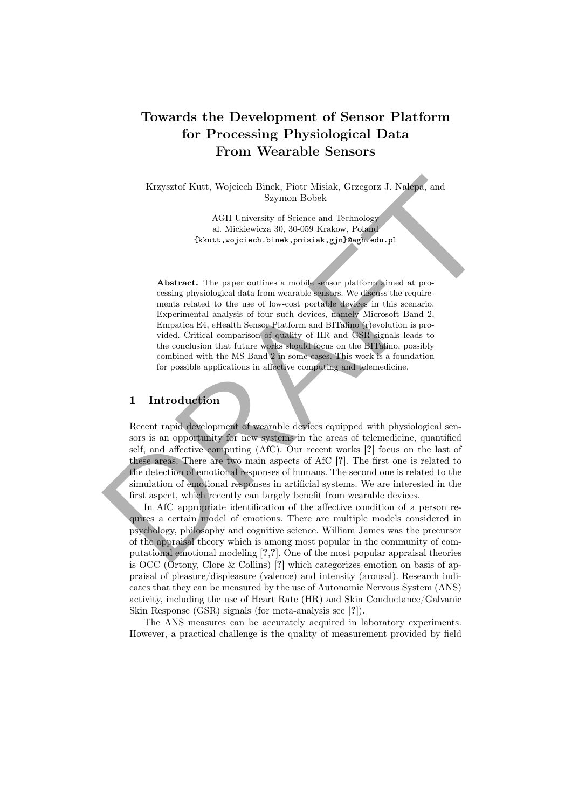# Towards the Development of Sensor Platform for Processing Physiological Data From Wearable Sensors

Krzysztof Kutt, Wojciech Binek, Piotr Misiak, Grzegorz J. Nalepa, and Szymon Bobek

> AGH University of Science and Technology al. Mickiewicza 30, 30-059 Krakow, Poland {kkutt,wojciech.binek,pmisiak,gjn}@agh.edu.pl

Abstract. The paper outlines a mobile sensor platform aimed at processing physiological data from wearable sensors. We discuss the requirements related to the use of low-cost portable devices in this scenario. Experimental analysis of four such devices, namely Microsoft Band 2, Empatica E4, eHealth Sensor Platform and BITalino (r)evolution is provided. Critical comparison of quality of HR and GSR signals leads to the conclusion that future works should focus on the BITalino, possibly combined with the MS Band 2 in some cases. This work is a foundation for possible applications in affective computing and telemedicine.

## 1 Introduction

Recent rapid development of wearable devices equipped with physiological sensors is an opportunity for new systems in the areas of telemedicine, quantified self, and affective computing (AfC). Our recent works [?] focus on the last of these areas. There are two main aspects of AfC [?]. The first one is related to the detection of emotional responses of humans. The second one is related to the simulation of emotional responses in artificial systems. We are interested in the first aspect, which recently can largely benefit from wearable devices. Krzysztof Kutt, Wojciech Binek, Piotr Misiak, Grzegorz J. Nalepa, and Szymon Bobek AGH University of Science and Technology al. Mickiewiezs 30, 30-959 Krakow, Poland Okkutt, vojci etch. binek, pensiska, gjanlongin edu. pl

In AfC appropriate identification of the affective condition of a person requires a certain model of emotions. There are multiple models considered in psychology, philosophy and cognitive science. William James was the precursor of the appraisal theory which is among most popular in the community of computational emotional modeling [?,?]. One of the most popular appraisal theories is OCC (Ortony, Clore & Collins) [?] which categorizes emotion on basis of appraisal of pleasure/displeasure (valence) and intensity (arousal). Research indicates that they can be measured by the use of Autonomic Nervous System (ANS) activity, including the use of Heart Rate (HR) and Skin Conductance/Galvanic Skin Response (GSR) signals (for meta-analysis see [?]).

The ANS measures can be accurately acquired in laboratory experiments. However, a practical challenge is the quality of measurement provided by field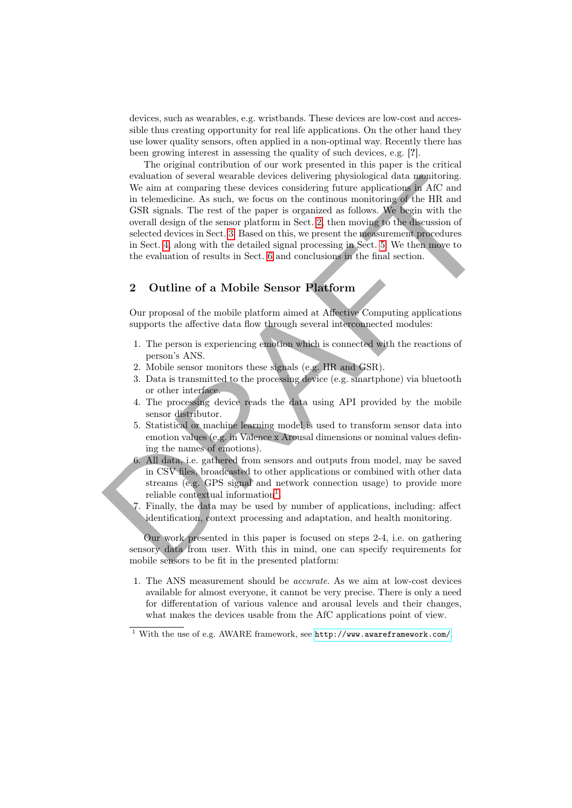devices, such as wearables, e.g. wristbands. These devices are low-cost and accessible thus creating opportunity for real life applications. On the other hand they use lower quality sensors, often applied in a non-optimal way. Recently there has been growing interest in assessing the quality of such devices, e.g. [?].

The original contribution of our work presented in this paper is the critical evaluation of several wearable devices delivering physiological data monitoring. We aim at comparing these devices considering future applications in AfC and in telemedicine. As such, we focus on the continous monitoring of the HR and GSR signals. The rest of the paper is organized as follows. We begin with the overall design of the sensor platform in Sect. 2, then moving to the discussion of selected devices in Sect. 3. Based on this, we present the measurement procedures in Sect. 4, along with the detailed signal processing in Sect. 5. We then move to the evaluation of results in Sect. [6](#page-5-0) and conclusions in the final section. cylunion of several weather devices detive<br>may the application of the medition of the defined in the democratic and<br>state and the difference of the paper is organized as follows. We begin with the<br>difference devices consi

### <span id="page-1-0"></span>2 Outline of a Mobile Sensor Platform

Our proposal of the mobile platform aimed at Affective Computing applications supports the affective data flow through several interconnected modules:

- 1. The person is experiencing emotion which is connected with the reactions of person's ANS.
- 2. Mobile sensor monitors these signals (e.g. HR and GSR).
- 3. Data is transmitted to the processing device (e.g. smartphone) via bluetooth or other interface.
- 4. The processing device reads the data using API provided by the mobile sensor distributor.
- 5. Statistical or machine learning model is used to transform sensor data into emotion values (e.g. in Valence x Arousal dimensions or nominal values defining the names of emotions).
- 6. All data, i.e. gathered from sensors and outputs from model, may be saved in CSV files, broadcasted to other applications or combined with other data streams (e.g. GPS signal and network connection usage) to provide more reliable contextual information<sup>1</sup>.
- 7. Finally, the data may be used by number of applications, including: affect identification, context processing and adaptation, and health monitoring.

Our work presented in this paper is focused on steps 2-4, i.e. on gathering sensory data from user. With this in mind, one can specify requirements for mobile sensors to be fit in the presented platform:

1. The ANS measurement should be accurate. As we aim at low-cost devices available for almost everyone, it cannot be very precise. There is only a need for differentation of various valence and arousal levels and their changes, what makes the devices usable from the AfC applications point of view.

<span id="page-1-1"></span> $^{\rm 1}$  With the use of e.g. AWARE framework, see  ${\tt http://www.awareframework.com/}.$  ${\tt http://www.awareframework.com/}.$  ${\tt http://www.awareframework.com/}.$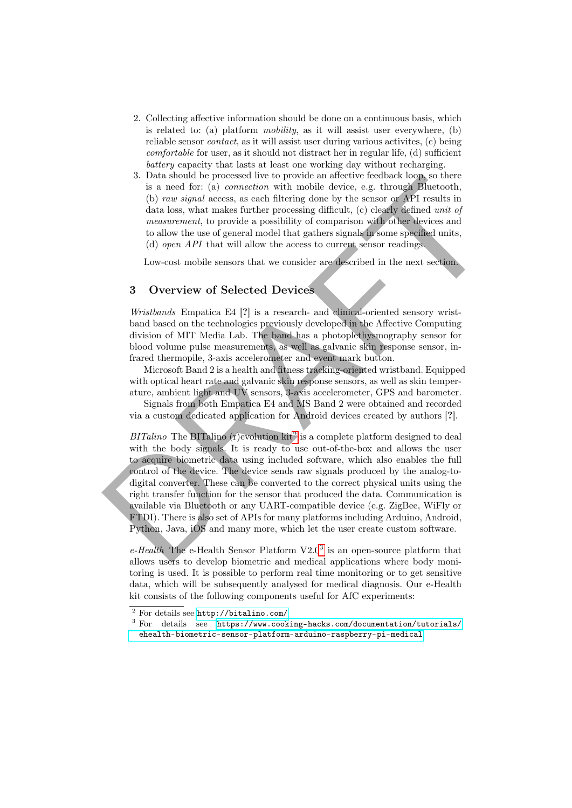- 2. Collecting affective information should be done on a continuous basis, which is related to: (a) platform mobility, as it will assist user everywhere, (b) reliable sensor contact, as it will assist user during various activites, (c) being comfortable for user, as it should not distract her in regular life, (d) sufficient battery capacity that lasts at least one working day without recharging.
- 3. Data should be processed live to provide an affective feedback loop, so there is a need for: (a) connection with mobile device, e.g. through Bluetooth, (b) raw signal access, as each filtering done by the sensor or API results in data loss, what makes further processing difficult, (c) clearly defined unit of measurement, to provide a possibility of comparison with other devices and to allow the use of general model that gathers signals in some specified units, (d) open API that will allow the access to current sensor readings.

Low-cost mobile sensors that we consider are described in the next section.

#### <span id="page-2-0"></span>3 Overview of Selected Devices

Wristbands Empatica E4 [?] is a research- and clinical-oriented sensory wristband based on the technologies previously developed in the Affective Computing division of MIT Media Lab. The band has a photoplethysmography sensor for blood volume pulse measurements, as well as galvanic skin response sensor, infrared thermopile, 3-axis accelerometer and event mark button.

Microsoft Band 2 is a health and fitness tracking-oriented wristband. Equipped with optical heart rate and galvanic skin response sensors, as well as skin temperature, ambient light and UV sensors, 3-axis accelerometer, GPS and barometer.

Signals from both Empatica E4 and MS Band 2 were obtained and recorded via a custom dedicated application for Android devices created by authors [?].

 $BITalino$  The BITalino (r)evolution kit<sup>2</sup> is a complete platform designed to deal with the body signals. It is ready to use out-of-the-box and allows the user to acquire biometric data using included software, which also enables the full control of the device. The device sends raw signals produced by the analog-todigital converter. These can be converted to the correct physical units using the right transfer function for the sensor that produced the data. Communication is available via Bluetooth or any UART-compatible device (e.g. ZigBee, WiFly or FTDI). There is also set of APIs for many platforms including Arduino, Android, Python, Java, iOS and many more, which let the user create custom software. 3. Data should be processed lave to provide an antective bedonate look is a need for: (a) connection with mobile device, e.g. through Bluetooth,<br>
(b) mas signal access, as seed filtering done by the sensor or API results

 $e$ -Health The e-Health Sensor Platform V2.0<sup>3</sup> is an open-source platform that allows users to develop biometric and medical applications where body monitoring is used. It is possible to perform real time monitoring or to get sensitive data, which will be subsequently analysed for medical diagnosis. Our e-Health kit consists of the following components useful for AfC experiments:

<span id="page-2-1"></span><sup>2</sup> For details see <http://bitalino.com/>

<span id="page-2-2"></span><sup>3</sup> For details see [https://www.cooking-hacks.com/documentation/tutorials/](https://www.cooking-hacks.com/documentation/tutorials/ehealth-biometric-sensor-platform-arduino-raspberry-pi-medical) [ehealth-biometric-sensor-platform-arduino-raspberry-pi-medical](https://www.cooking-hacks.com/documentation/tutorials/ehealth-biometric-sensor-platform-arduino-raspberry-pi-medical)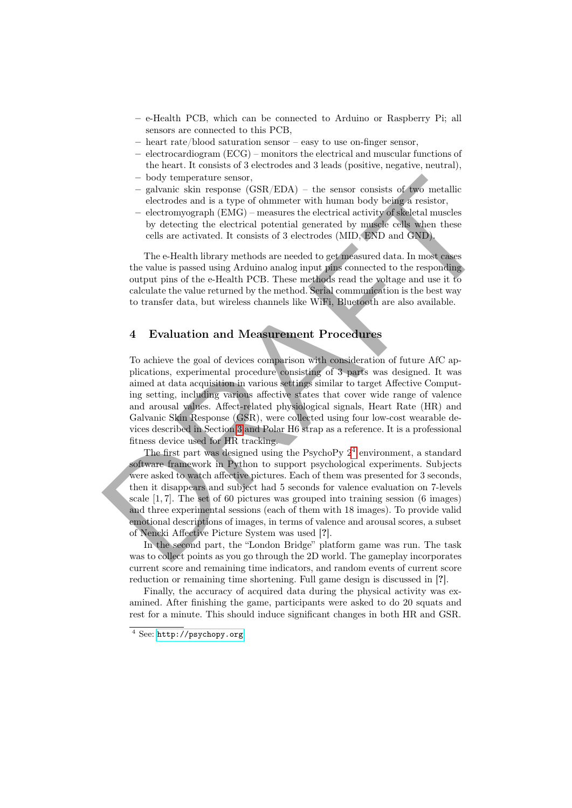- e-Health PCB, which can be connected to Arduino or Raspberry Pi; all sensors are connected to this PCB,
- heart rate/blood saturation sensor easy to use on-finger sensor,
- electrocardiogram (ECG) monitors the electrical and muscular functions of the heart. It consists of 3 electrodes and 3 leads (positive, negative, neutral),
- body temperature sensor,
- galvanic skin response (GSR/EDA) the sensor consists of two metallic electrodes and is a type of ohmmeter with human body being a resistor,
- electromyograph (EMG) measures the electrical activity of skeletal muscles by detecting the electrical potential generated by muscle cells when these cells are activated. It consists of 3 electrodes (MID, END and GND).

The e-Health library methods are needed to get measured data. In most cases the value is passed using Arduino analog input pins connected to the responding output pins of the e-Health PCB. These methods read the voltage and use it to calculate the value returned by the method. Serial communication is the best way to transfer data, but wireless channels like WiFi, Bluetooth are also available.

#### <span id="page-3-0"></span>4 Evaluation and Measurement Procedures

To achieve the goal of devices comparison with consideration of future AfC applications, experimental procedure consisting of 3 parts was designed. It was aimed at data acquisition in various settings similar to target Affective Computing setting, including various affective states that cover wide range of valence and arousal values. Affect-related physiological signals, Heart Rate (HR) and Galvanic Skin Response (GSR), were collected using four low-cost wearable devices described in Section 3 and Polar H6 strap as a reference. It is a professional fitness device used for HR tracking. – body temperature senor,<br>
— galvanic skin response (GSR/EDA) – the sensor consists of two metallic<br>
decretoes and is a type of channeler with human body being a resistor,<br>
— electromygon) ((SMC) – measures the electrical

The first part was designed using the PsychoPy 2<sup>4</sup> environment, a standard software framework in Python to support psychological experiments. Subjects were asked to watch affective pictures. Each of them was presented for 3 seconds, then it disappears and subject had 5 seconds for valence evaluation on 7-levels scale [1, 7]. The set of 60 pictures was grouped into training session (6 images) and three experimental sessions (each of them with 18 images). To provide valid emotional descriptions of images, in terms of valence and arousal scores, a subset of Nencki Affective Picture System was used [?].

In the second part, the "London Bridge" platform game was run. The task was to collect points as you go through the 2D world. The gameplay incorporates current score and remaining time indicators, and random events of current score reduction or remaining time shortening. Full game design is discussed in [?].

Finally, the accuracy of acquired data during the physical activity was examined. After finishing the game, participants were asked to do 20 squats and rest for a minute. This should induce significant changes in both HR and GSR.

<span id="page-3-1"></span><sup>4</sup> See: <http://psychopy.org>.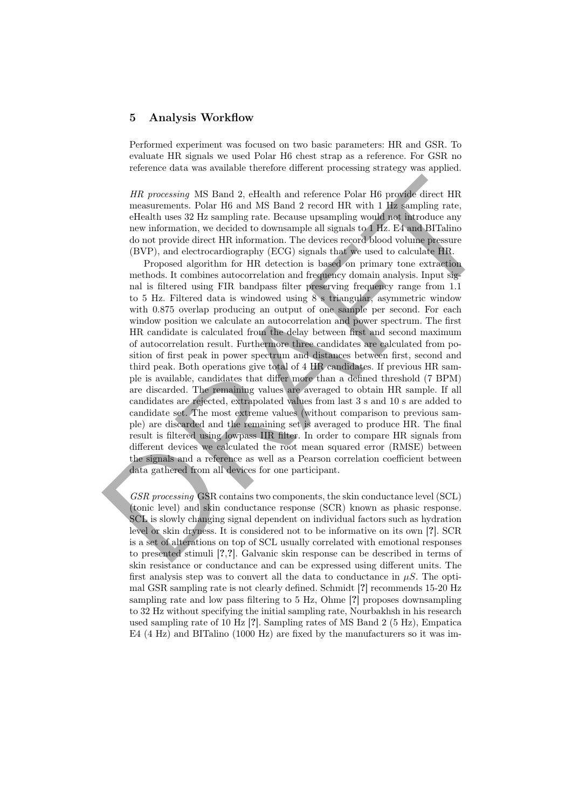#### <span id="page-4-0"></span>5 Analysis Workflow

Performed experiment was focused on two basic parameters: HR and GSR. To evaluate HR signals we used Polar H6 chest strap as a reference. For GSR no reference data was available therefore different processing strategy was applied.

HR processing MS Band 2, eHealth and reference Polar H6 provide direct HR measurements. Polar H6 and MS Band 2 record HR with 1 Hz sampling rate, eHealth uses 32 Hz sampling rate. Because upsampling would not introduce any new information, we decided to downsample all signals to 1 Hz. E4 and BITalino do not provide direct HR information. The devices record blood volume pressure (BVP), and electrocardiography (ECG) signals that we used to calculate HR.

Proposed algorithm for HR detection is based on primary tone extraction methods. It combines autocorrelation and frequency domain analysis. Input signal is filtered using FIR bandpass filter preserving frequency range from 1.1 to 5 Hz. Filtered data is windowed using 8 s triangular, asymmetric window with 0.875 overlap producing an output of one sample per second. For each window position we calculate an autocorrelation and power spectrum. The first HR candidate is calculated from the delay between first and second maximum of autocorrelation result. Furthermore three candidates are calculated from position of first peak in power spectrum and distances between first, second and third peak. Both operations give total of 4 HR candidates. If previous HR sample is available, candidates that differ more than a defined threshold (7 BPM) are discarded. The remaining values are averaged to obtain HR sample. If all candidates are rejected, extrapolated values from last 3 s and 10 s are added to candidate set. The most extreme values (without comparison to previous sample) are discarded and the remaining set is averaged to produce HR. The final result is filtered using lowpass IIR filter. In order to compare HR signals from different devices we calculated the root mean squared error (RMSE) between the signals and a reference as well as a Pearson correlation coefficient between data gathered from all devices for one participant.  $HR\ processing$ MS Band 2, e<br>Health and reference Polar H6 provide direct HR measurements. Polar H6 and MS Band 2 record HR with 1 Hz sampling rate, electal<br>th uses 32 Hz sampling rate, electals uses 32 Hz sampling rate, the<br>cause u

GSR processing GSR contains two components, the skin conductance level (SCL) (tonic level) and skin conductance response (SCR) known as phasic response. SCL is slowly changing signal dependent on individual factors such as hydration level or skin dryness. It is considered not to be informative on its own [?]. SCR is a set of alterations on top of SCL usually correlated with emotional responses to presented stimuli [?,?]. Galvanic skin response can be described in terms of skin resistance or conductance and can be expressed using different units. The first analysis step was to convert all the data to conductance in  $\mu S$ . The optimal GSR sampling rate is not clearly defined. Schmidt [?] recommends 15-20 Hz sampling rate and low pass filtering to 5 Hz, Ohme [?] proposes downsampling to 32 Hz without specifying the initial sampling rate, Nourbakhsh in his research used sampling rate of 10 Hz [?]. Sampling rates of MS Band 2 (5 Hz), Empatica E4 (4 Hz) and BITalino (1000 Hz) are fixed by the manufacturers so it was im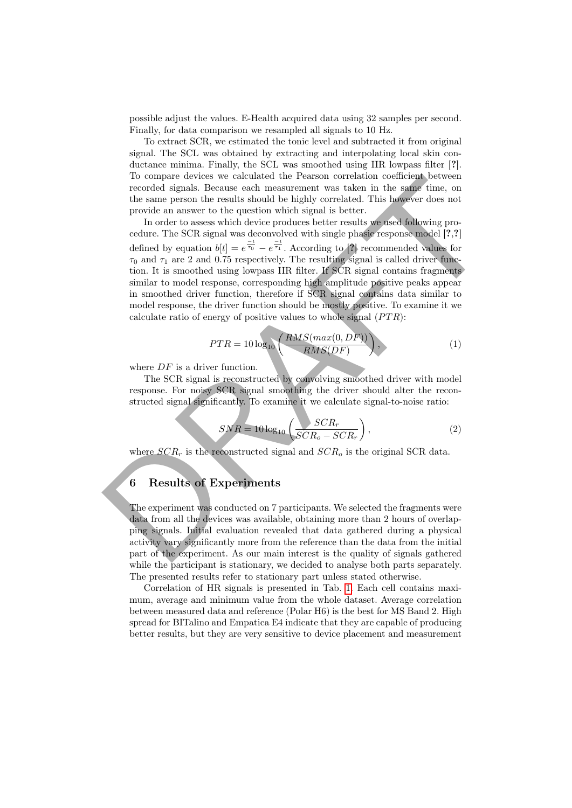possible adjust the values. E-Health acquired data using 32 samples per second. Finally, for data comparison we resampled all signals to 10 Hz.

To extract SCR, we estimated the tonic level and subtracted it from original signal. The SCL was obtained by extracting and interpolating local skin conductance minima. Finally, the SCL was smoothed using IIR lowpass filter [?]. To compare devices we calculated the Pearson correlation coefficient between recorded signals. Because each measurement was taken in the same time, on the same person the results should be highly correlated. This however does not provide an answer to the question which signal is better.

In order to assess which device produces better results we used following procedure. The SCR signal was deconvolved with single phasic response model [?,?] defined by equation  $b[t] = e^{\frac{-t}{\tau_0}} - e^{\frac{-t}{\tau_1}}$ . According to [?] recommended values for  $\tau_0$  and  $\tau_1$  are 2 and 0.75 respectively. The resulting signal is called driver function. It is smoothed using lowpass IIR filter. If SCR signal contains fragments similar to model response, corresponding high amplitude positive peaks appear in smoothed driver function, therefore if SCR signal contains data similar to model response, the driver function should be mostly positive. To examine it we calculate ratio of energy of positive values to whole signal  $(PTR)$ : 16 compare devices we calculated the Prassen correlation to<br>centere the magnetic method signals. Because each measurement was taken in the same time, on<br>the same person the results should be highly correlated. This howeve

$$
PTR = 10\log_{10}\left(\frac{RMS(max(0,DF))}{RMS(DF)}\right),\tag{1}
$$

where  $DF$  is a driver function.

The SCR signal is reconstructed by convolving smoothed driver with model response. For noisy SCR signal smoothing the driver should alter the reconstructed signal significantly. To examine it we calculate signal-to-noise ratio:

$$
SNR = 10\log_{10}\left(\frac{SCR_r}{SCR_o -SCR_r}\right),\tag{2}
$$

where  $SCR_r$  is the reconstructed signal and  $SCR_o$  is the original SCR data.

# <span id="page-5-0"></span>6 Results of Experiments

The experiment was conducted on 7 participants. We selected the fragments were data from all the devices was available, obtaining more than 2 hours of overlapping signals. Initial evaluation revealed that data gathered during a physical activity vary significantly more from the reference than the data from the initial part of the experiment. As our main interest is the quality of signals gathered while the participant is stationary, we decided to analyse both parts separately. The presented results refer to stationary part unless stated otherwise.

Correlation of HR signals is presented in Tab. [1.](#page-6-0) Each cell contains maximum, average and minimum value from the whole dataset. Average correlation between measured data and reference (Polar H6) is the best for MS Band 2. High spread for BITalino and Empatica E4 indicate that they are capable of producing better results, but they are very sensitive to device placement and measurement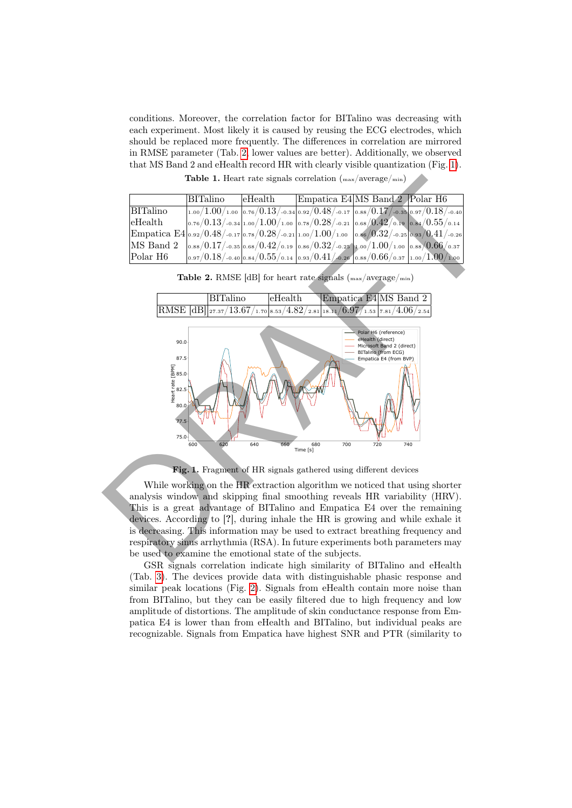conditions. Moreover, the correlation factor for BITalino was decreasing with each experiment. Most likely it is caused by reusing the ECG electrodes, which should be replaced more frequently. The differences in correlation are mirrored in RMSE parameter (Tab. [2,](#page-6-1) lower values are better). Additionally, we observed that MS Band 2 and eHealth record HR with clearly visible quantization (Fig. [1\)](#page-6-2).

<span id="page-6-0"></span>Table 1. Heart rate signals correlation (max/average/min)

|                                                                                       | BITalino | $e$ Health | Empatica E4 MS Band 2 Polar H6                                                                                                                                                                                 |  |
|---------------------------------------------------------------------------------------|----------|------------|----------------------------------------------------------------------------------------------------------------------------------------------------------------------------------------------------------------|--|
| <b>BITalino</b>                                                                       |          |            | $\mid$ 1.00/1.00/1.00 $\mid$ 0.76/0.13/-0.34 $\mid$ 0.92/0.48/-0.17 $\mid$ 0.88/0.17/-0.35 $\mid$ 0.97/0.18/-0.40 $\mid$                                                                                       |  |
| eHealth                                                                               |          |            | $\left  \text{o.76}/0.13 /$ -0.34 $\left  \text{1.00} / 1.00 /$ 1.00 $\right $ 0.78 $/0.28 /$ -0.21 $\left  \text{o.68} / 0.42 /$ 0.19 $\left  \text{o.84} / 0.55 /$ 0.14                                      |  |
| Empatica E4 0.92/0.48/-0.17 0.78/0.28/-0.21 1.00/1.00 0.66/0.32/-0.25 0.93/0.41/-0.26 |          |            |                                                                                                                                                                                                                |  |
| MS Band 2                                                                             |          |            | $\frac{1}{10.88}/0.17/$ -0.35 0.68/0.42/0.19 0.86/0.32/-0.25 1.00/1.00/1.00 0.88/0.66/0.37                                                                                                                     |  |
| Polar H6                                                                              |          |            | $\left  \text{0.97} / 0.18 \right/$ -0.40 $\left  \text{0.84} / 0.55 \right/$ 0.14 $\left  \text{0.93} / 0.41 \right/$ -0.26 $\left  \text{0.88} / 0.66 \right/$ 0.37 $\left  \text{1.00} / 1.00 \right/$ 1.00 |  |

<span id="page-6-1"></span>Table 2. RMSE [dB] for heart rate signals ( $_{\text{max}}/\text{average}/_{\text{min}}$ )



<span id="page-6-2"></span>Fig. 1. Fragment of HR signals gathered using different devices

While working on the HR extraction algorithm we noticed that using shorter analysis window and skipping final smoothing reveals HR variability (HRV). This is a great advantage of BITalino and Empatica E4 over the remaining devices. According to [?], during inhale the HR is growing and while exhale it is decreasing. This information may be used to extract breathing frequency and respiratory sinus arrhythmia (RSA). In future experiments both parameters may be used to examine the emotional state of the subjects.

GSR signals correlation indicate high similarity of BITalino and eHealth (Tab. [3\)](#page-7-0). The devices provide data with distinguishable phasic response and similar peak locations (Fig. [2\)](#page-7-1). Signals from eHealth contain more noise than from BITalino, but they can be easily filtered due to high frequency and low amplitude of distortions. The amplitude of skin conductance response from Empatica E4 is lower than from eHealth and BITalino, but individual peaks are recognizable. Signals from Empatica have highest SNR and PTR (similarity to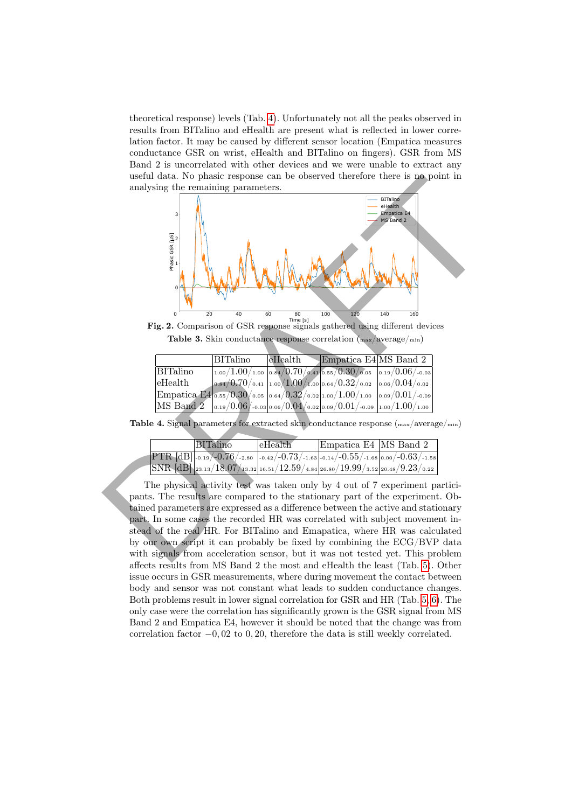theoretical response) levels (Tab. [4\)](#page-7-2). Unfortunately not all the peaks observed in results from BITalino and eHealth are present what is reflected in lower correlation factor. It may be caused by different sensor location (Empatica measures conductance GSR on wrist, eHealth and BITalino on fingers). GSR from MS Band 2 is uncorrelated with other devices and we were unable to extract any useful data. No phasic response can be observed therefore there is no point in analysing the remaining parameters.



<span id="page-7-1"></span>**Fig. 2.** Comparison of GSR response signals gathered using different devices **Table 3.** Skin conductance response correlation  $\binom{max/average/min}{max}$ 

<span id="page-7-0"></span>

|             | BITalino | $e$ Health | Empatica E4 MS Band 2                                                                                                 |  |
|-------------|----------|------------|-----------------------------------------------------------------------------------------------------------------------|--|
| BITalino    |          |            | $\left 1.00/1.00/1.00\right 0.84/0.70/0.41\left 0.55/0.30/0.05\right 0.19/0.06/0.03\right $                           |  |
| $ $ eHealth |          |            | $\left  0.84/0.70/0.41 \right  1.00/1.00/1.00 \right  0.64/0.32/0.02 \left  0.06/0.04/0.02 \right $                   |  |
|             |          |            | $ \text{Empatica E4} _{\text{o.55}}/0.30/$ 0.05 $ $ 0.64/ $0.32/$ 0.02 $ $ 1.00/1.00/1.00 $ $ 0.09/ $0.01/$ -0.09 $ $ |  |
|             |          |            | MS Band 2 $ _{0.19}/0.06/$ -0.03 0.06/0.04/0.02 0.09/0.01/-0.09 1.00/1.00/1.00                                        |  |

Table 4. Signal parameters for extracted skin conductance response  $\binom{max/average/min}{m}$ 

<span id="page-7-2"></span>

| BITalino                                                                           | $e$ Health | Empatica E4   MS Band 2 |  |
|------------------------------------------------------------------------------------|------------|-------------------------|--|
| PTR $[dB]$ -0.19/-0.76/-2.80 -0.42/-0.73/-1.63 -0.14/-0.55/-1.68 0.00/-0.63/-1.58  |            |                         |  |
| $\rm SNR$ [dB] 23.13/18.07/13.32 16.51/12.59/4.84 26.80/19.99/3.52 20.48/9.23/0.22 |            |                         |  |

The physical activity test was taken only by 4 out of 7 experiment participants. The results are compared to the stationary part of the experiment. Obtained parameters are expressed as a difference between the active and stationary part. In some cases the recorded HR was correlated with subject movement instead of the real HR. For BITalino and Emapatica, where HR was calculated by our own script it can probably be fixed by combining the ECG/BVP data with signals from acceleration sensor, but it was not tested yet. This problem affects results from MS Band 2 the most and eHealth the least (Tab. [5\)](#page-8-0). Other issue occurs in GSR measurements, where during movement the contact between body and sensor was not constant what leads to sudden conductance changes. Both problems result in lower signal correlation for GSR and HR (Tab. [5,](#page-8-0) [6\)](#page-8-1). The only case were the correlation has significantly grown is the GSR signal from MS Band 2 and Empatica E4, however it should be noted that the change was from correlation factor  $-0$ , 02 to 0, 20, therefore the data is still weekly correlated.